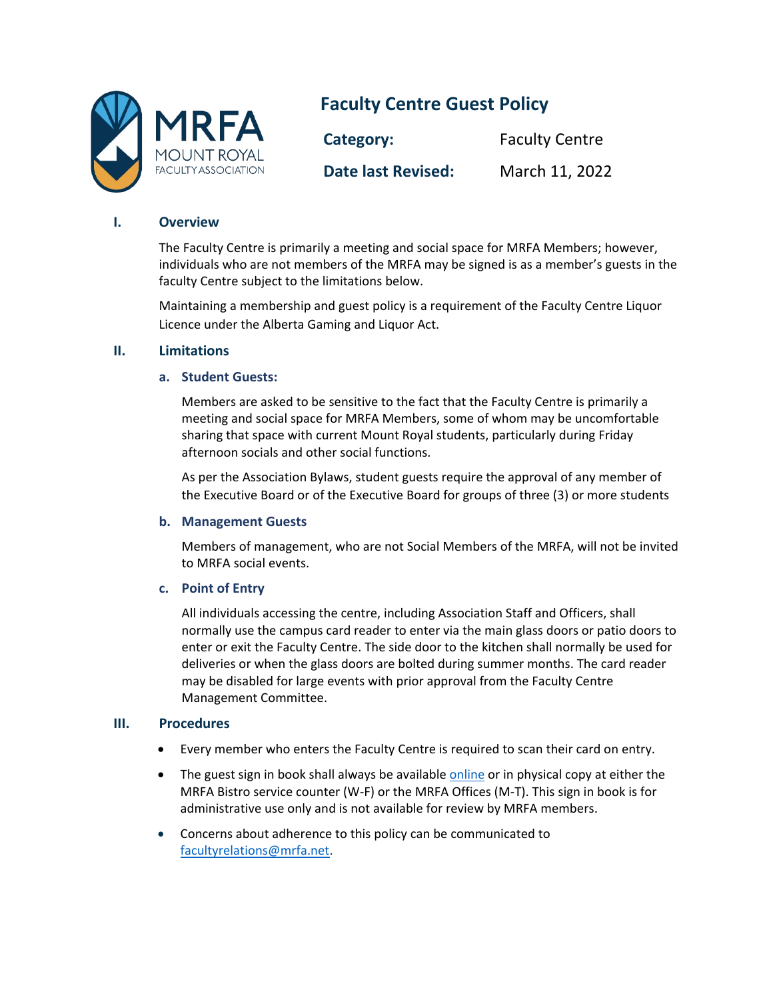

# **Faculty Centre Guest Policy**

| Category:                 | <b>Faculty Centre</b> |
|---------------------------|-----------------------|
| <b>Date last Revised:</b> | March 11, 2022        |

#### **I. Overview**

The Faculty Centre is primarily a meeting and social space for MRFA Members; however, individuals who are not members of the MRFA may be signed is as a member's guests in the faculty Centre subject to the limitations below.

Maintaining a membership and guest policy is a requirement of the Faculty Centre Liquor Licence under the Alberta Gaming and Liquor Act.

### **II. Limitations**

#### **a. Student Guests:**

Members are asked to be sensitive to the fact that the Faculty Centre is primarily a meeting and social space for MRFA Members, some of whom may be uncomfortable sharing that space with current Mount Royal students, particularly during Friday afternoon socials and other social functions.

As per the Association Bylaws, student guests require the approval of any member of the Executive Board or of the Executive Board for groups of three (3) or more students

#### **b. Management Guests**

Members of management, who are not Social Members of the MRFA, will not be invited to MRFA social events.

#### **c. Point of Entry**

All individuals accessing the centre, including Association Staff and Officers, shall normally use the campus card reader to enter via the main glass doors or patio doors to enter or exit the Faculty Centre. The side door to the kitchen shall normally be used for deliveries or when the glass doors are bolted during summer months. The card reader may be disabled for large events with prior approval from the Faculty Centre Management Committee.

#### **III. Procedures**

- Every member who enters the Faculty Centre is required to scan their card on entry.
- The guest sign in book shall always be available [online](https://forms.gle/CezDJBo6QwSZ2eMEA) or in physical copy at either the MRFA Bistro service counter (W-F) or the MRFA Offices (M-T). This sign in book is for administrative use only and is not available for review by MRFA members.
- Concerns about adherence to this policy can be communicated to [facultyrelations@mrfa.net.](mailto:facultyrelations@mrfa.net)